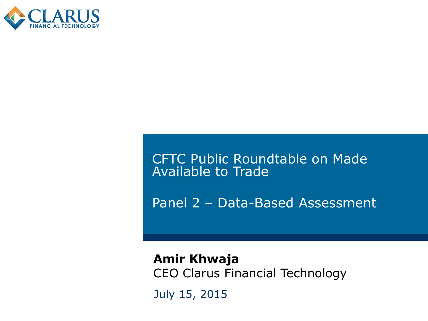

CFTC Public Roundtable on Made Available to Trade

Panel 2 – Data-Based Assessment

July 15, 2015 **Amir Khwaja** CEO Clarus Financial Technology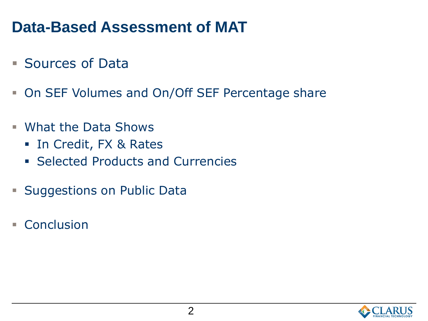## **Data-Based Assessment of MAT**

- **Sources of Data**
- **On SEF Volumes and On/Off SEF Percentage share**
- What the Data Shows
	- **In Credit, FX & Rates**
	- **Exerciced Products and Currencies**
- **Suggestions on Public Data**
- Conclusion

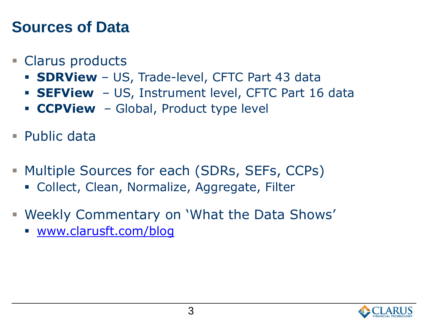## **Sources of Data**

#### Clarus products

- **SDRView** US, Trade-level, CFTC Part 43 data
- **SEFView** US, Instrument level, CFTC Part 16 data
- **CCPView** Global, Product type level
- Public data
- **Multiple Sources for each (SDRs, SEFs, CCPs)** 
	- Collect, Clean, Normalize, Aggregate, Filter
- Weekly Commentary on 'What the Data Shows'
	- [www.clarusft.com/blog](http://www.clarusft.com/blog)

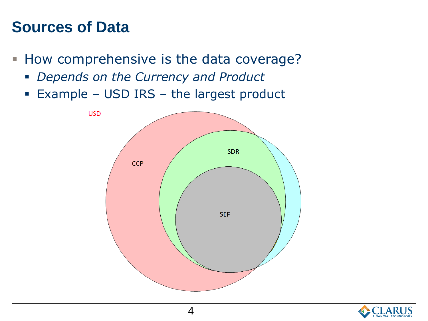### **Sources of Data**

- How comprehensive is the data coverage?
	- *Depends on the Currency and Product*
	- Example USD IRS the largest product



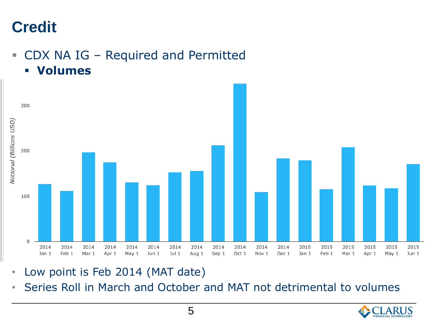# **Credit**

- CDX NA IG Required and Permitted
	- **Volumes**



- Low point is Feb 2014 (MAT date)
- Series Roll in March and October and MAT not detrimental to volumes

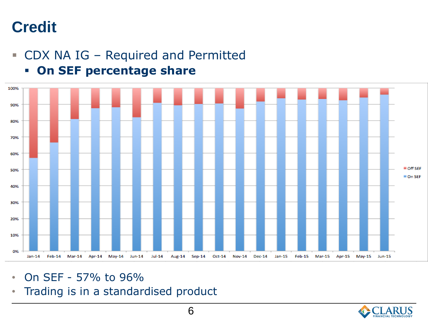## **Credit**

CDX NA IG – Required and Permitted



**On SEF percentage share**

- On SEF 57% to 96%
- Trading is in a standardised product

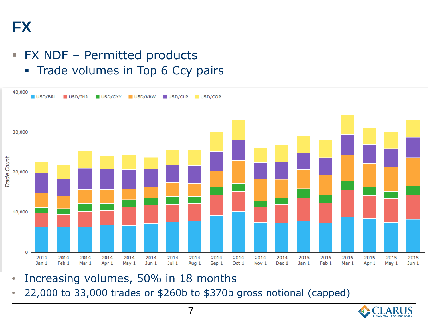#### FX NDF – Permitted products

• Trade volumes in Top 6 Ccy pairs



- Increasing volumes, 50% in 18 months
- 22,000 to 33,000 trades or \$260b to \$370b gross notional (capped)

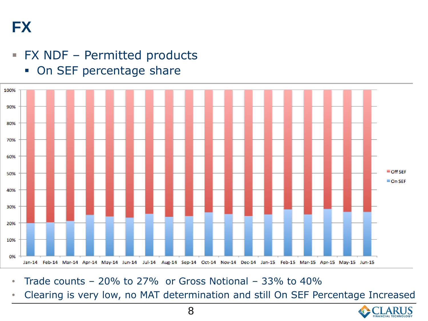**FX**

#### FX NDF – Permitted products





- Trade counts  $-20\%$  to 27% or Gross Notional  $-33\%$  to 40%
- Clearing is very low, no MAT determination and still On SEF Percentage Increased

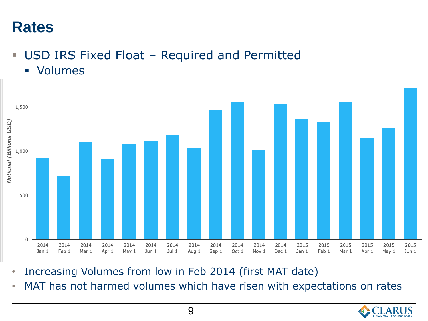- USD IRS Fixed Float Required and Permitted
	- **volumes**



- Increasing Volumes from low in Feb 2014 (first MAT date)
- MAT has not harmed volumes which have risen with expectations on rates

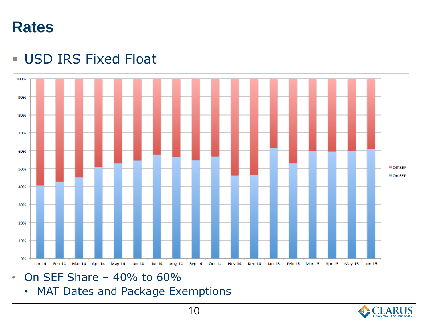#### **USD IRS Fixed Float**



- $\cdot$  On SEF Share 40% to 60%
	- MAT Dates and Package Exemptions

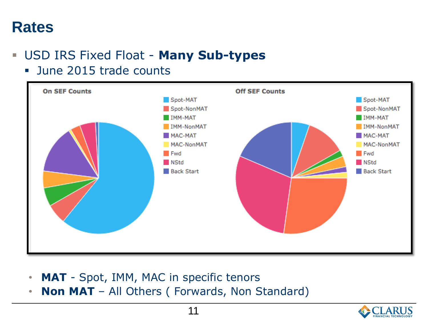#### USD IRS Fixed Float - **Many Sub-types**

June 2015 trade counts



- **MAT** Spot, IMM, MAC in specific tenors
- **Non MAT**  All Others ( Forwards, Non Standard)

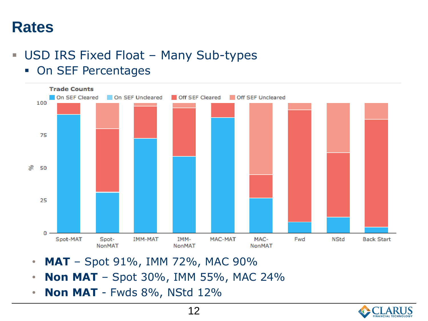#### **USD IRS Fixed Float - Many Sub-types**

**• On SEF Percentages** 



- **MAT** Spot 91%, IMM 72%, MAC 90%
- **Non MAT**  Spot 30%, IMM 55%, MAC 24%
- **Non MAT**  Fwds 8%, NStd 12%

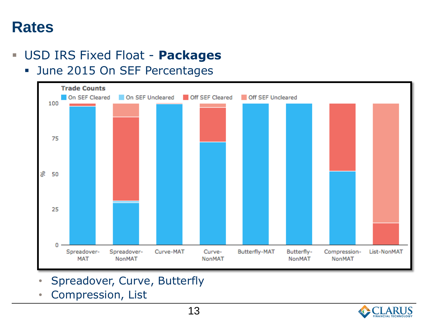#### USD IRS Fixed Float - **Packages**

**June 2015 On SEF Percentages** 



- Spreadover, Curve, Butterfly
- Compression, List

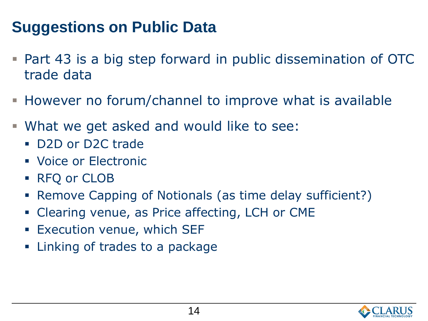# **Suggestions on Public Data**

- Part 43 is a big step forward in public dissemination of OTC trade data
- However no forum/channel to improve what is available
- What we get asked and would like to see:
	- D2D or D2C trade
	- **Voice or Electronic**
	- RFQ or CLOB
	- Remove Capping of Notionals (as time delay sufficient?)
	- Clearing venue, as Price affecting, LCH or CME
	- **Execution venue, which SEF**
	- **Example 1** Linking of trades to a package

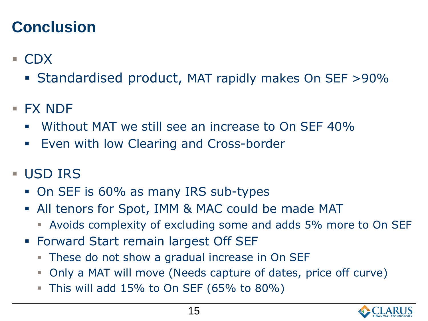# **Conclusion**

- CDX
	- Standardised product, MAT rapidly makes On SEF >90%
- $\blacksquare$  FX NDF
	- Without MAT we still see an increase to On SEF 40%
	- **Even with low Clearing and Cross-border**
- **USD IRS** 
	- On SEF is 60% as many IRS sub-types
	- All tenors for Spot, IMM & MAC could be made MAT
		- Avoids complexity of excluding some and adds 5% more to On SEF
	- **Forward Start remain largest Off SEF** 
		- **These do not show a gradual increase in On SEF**
		- Only a MAT will move (Needs capture of dates, price off curve)
		- This will add  $15\%$  to On SEF (65% to 80%)